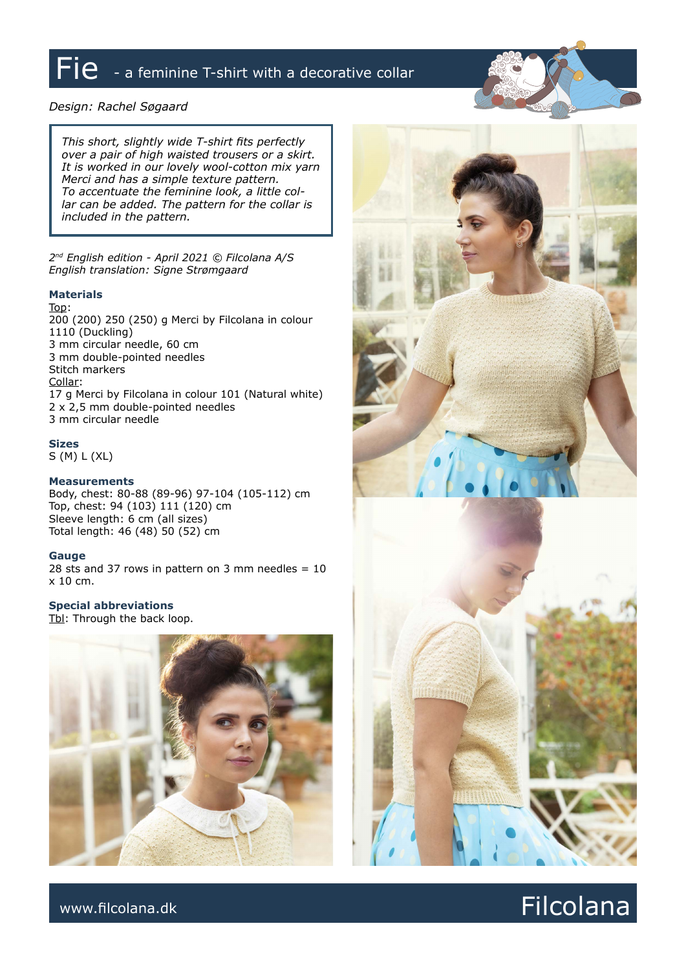# $\overline{\mathsf{Fie}}$  - a feminine T-shirt with a decorative collar

# *Design: Rachel Søgaard*

*This short, slightly wide T-shirt fits perfectly over a pair of high waisted trousers or a skirt. It is worked in our lovely wool-cotton mix yarn Merci and has a simple texture pattern. To accentuate the feminine look, a little collar can be added. The pattern for the collar is included in the pattern.*

*2nd English edition - April 2021 © Filcolana A/S English translation: Signe Strømgaard*

# **Materials**

Top: 200 (200) 250 (250) g Merci by Filcolana in colour 1110 (Duckling) 3 mm circular needle, 60 cm 3 mm double-pointed needles Stitch markers Collar: 17 g Merci by Filcolana in colour 101 (Natural white) 2 x 2,5 mm double-pointed needles 3 mm circular needle

**Sizes**

S (M) L (XL)

#### **Measurements**

Body, chest: 80-88 (89-96) 97-104 (105-112) cm Top, chest: 94 (103) 111 (120) cm Sleeve length: 6 cm (all sizes) Total length: 46 (48) 50 (52) cm

# **Gauge**

28 sts and 37 rows in pattern on 3 mm needles  $= 10$ x 10 cm.

**Special abbreviations** Tbl: Through the back loop.





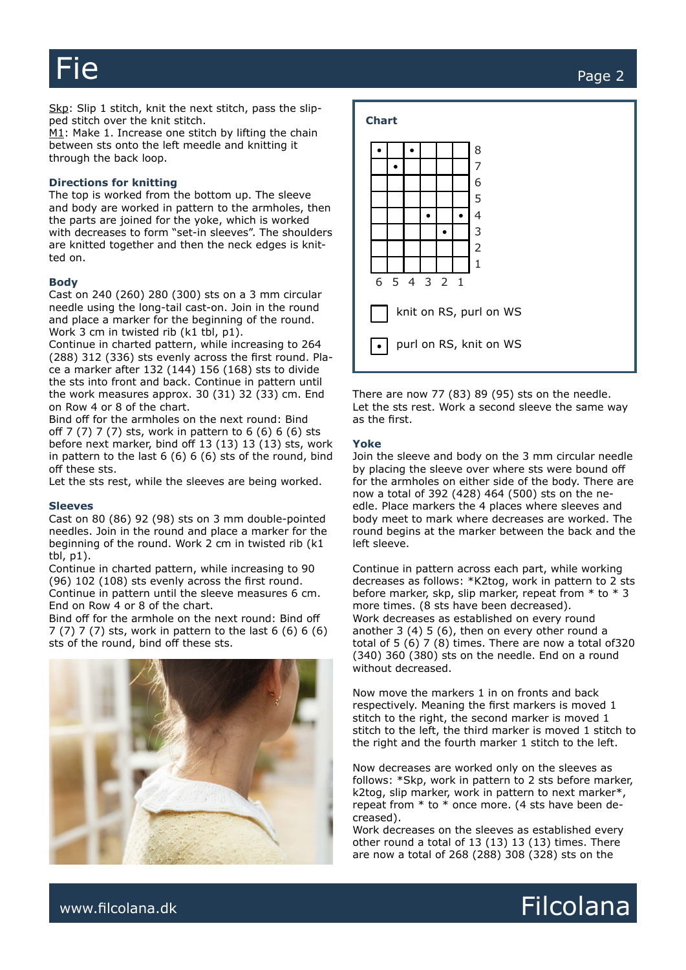Fie Page 2

Skp: Slip 1 stitch, knit the next stitch, pass the slipped stitch over the knit stitch.

M1: Make 1. Increase one stitch by lifting the chain between sts onto the left meedle and knitting it through the back loop.

# **Directions for knitting**

The top is worked from the bottom up. The sleeve and body are worked in pattern to the armholes, then the parts are joined for the yoke, which is worked with decreases to form "set-in sleeves". The shoulders are knitted together and then the neck edges is knitted on.

#### **Body**

Cast on 240 (260) 280 (300) sts on a 3 mm circular needle using the long-tail cast-on. Join in the round and place a marker for the beginning of the round. Work 3 cm in twisted rib (k1 tbl, p1).

Continue in charted pattern, while increasing to 264 (288) 312 (336) sts evenly across the first round. Place a marker after 132 (144) 156 (168) sts to divide the sts into front and back. Continue in pattern until the work measures approx. 30 (31) 32 (33) cm. End on Row 4 or 8 of the chart.

Bind off for the armholes on the next round: Bind off 7 (7) 7 (7) sts, work in pattern to 6 (6) 6 (6) sts before next marker, bind off 13 (13) 13 (13) sts, work in pattern to the last 6 (6) 6 (6) sts of the round, bind off these sts.

Let the sts rest, while the sleeves are being worked.

#### **Sleeves**

Cast on 80 (86) 92 (98) sts on 3 mm double-pointed needles. Join in the round and place a marker for the beginning of the round. Work 2 cm in twisted rib (k1 tbl, p1).

Continue in charted pattern, while increasing to 90 (96) 102 (108) sts evenly across the first round. Continue in pattern until the sleeve measures 6 cm. End on Row 4 or 8 of the chart.

Bind off for the armhole on the next round: Bind off 7 (7) 7 (7) sts, work in pattern to the last 6 (6) 6 (6) sts of the round, bind off these sts.





There are now 77 (83) 89 (95) sts on the needle. Let the sts rest. Work a second sleeve the same way as the first.

#### **Yoke**

**Chart**

Join the sleeve and body on the 3 mm circular needle by placing the sleeve over where sts were bound off for the armholes on either side of the body. There are now a total of 392 (428) 464 (500) sts on the needle. Place markers the 4 places where sleeves and body meet to mark where decreases are worked. The round begins at the marker between the back and the left sleeve.

Continue in pattern across each part, while working decreases as follows: \*K2tog, work in pattern to 2 sts before marker, skp, slip marker, repeat from \* to \* 3 more times. (8 sts have been decreased). Work decreases as established on every round another 3 (4) 5 (6), then on every other round a total of 5 (6) 7 (8) times. There are now a total of320 (340) 360 (380) sts on the needle. End on a round without decreased.

Now move the markers 1 in on fronts and back respectively. Meaning the first markers is moved 1 stitch to the right, the second marker is moved 1 stitch to the left, the third marker is moved 1 stitch to the right and the fourth marker 1 stitch to the left.

Now decreases are worked only on the sleeves as follows: \*Skp, work in pattern to 2 sts before marker, k2tog, slip marker, work in pattern to next marker\*, repeat from \* to \* once more. (4 sts have been decreased).

Work decreases on the sleeves as established every other round a total of 13 (13) 13 (13) times. There are now a total of 268 (288) 308 (328) sts on the